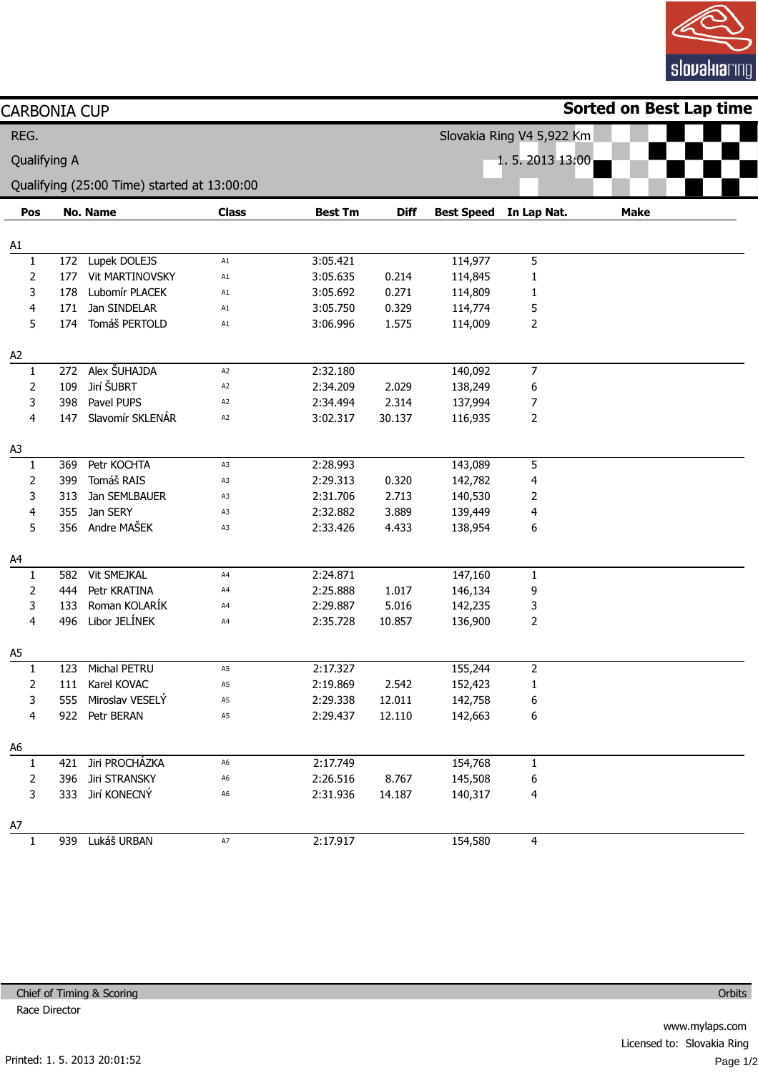

| <b>CARBONIA CUP</b> |     |                                             |                         |                |                |                           |                | <b>Sorted on Best Lap time</b> |  |  |
|---------------------|-----|---------------------------------------------|-------------------------|----------------|----------------|---------------------------|----------------|--------------------------------|--|--|
| REG.                |     |                                             |                         |                |                | Slovakia Ring V4 5,922 Km |                |                                |  |  |
| Qualifying A        |     |                                             |                         |                | 1.5.2013 13:00 |                           |                |                                |  |  |
|                     |     |                                             |                         |                |                |                           |                |                                |  |  |
|                     |     | Qualifying (25:00 Time) started at 13:00:00 |                         |                |                |                           |                |                                |  |  |
| Pos                 |     | <b>No. Name</b>                             | <b>Class</b>            | <b>Best Tm</b> | <b>Diff</b>    | <b>Best Speed</b>         | In Lap Nat.    | <b>Make</b>                    |  |  |
| A1                  |     |                                             |                         |                |                |                           |                |                                |  |  |
| $\mathbf{1}$        |     | 172 Lupek DOLEJS                            | A1                      | 3:05.421       |                | 114,977                   | 5              |                                |  |  |
| 2                   | 177 | Vit MARTINOVSKY                             | A1                      | 3:05.635       | 0.214          | 114,845                   | 1              |                                |  |  |
| 3                   | 178 | Lubomír PLACEK                              | A1                      | 3:05.692       | 0.271          | 114,809                   | 1              |                                |  |  |
| 4                   | 171 | Jan SINDELAR                                | A1                      | 3:05.750       | 0.329          | 114,774                   | 5              |                                |  |  |
| 5                   | 174 | Tomáš PERTOLD                               | A1                      | 3:06.996       | 1.575          | 114,009                   | 2              |                                |  |  |
| A <sub>2</sub>      |     |                                             |                         |                |                |                           |                |                                |  |  |
| 1                   | 272 | Alex SUHAJDA                                | A <sub>2</sub>          | 2:32.180       |                | 140,092                   | $\overline{7}$ |                                |  |  |
| $\overline{2}$      | 109 | Jirí ŠUBRT                                  | A2                      | 2:34.209       | 2.029          | 138,249                   | 6              |                                |  |  |
| 3                   | 398 | Pavel PUPS                                  | A2                      | 2:34.494       | 2.314          | 137,994                   | 7              |                                |  |  |
| 4                   | 147 | Slavomír SKLENÁR                            | A2                      | 3:02.317       | 30.137         | 116,935                   | $\overline{2}$ |                                |  |  |
| A <sub>3</sub>      |     |                                             |                         |                |                |                           |                |                                |  |  |
| 1                   | 369 | Petr KOCHTA                                 | A3                      | 2:28.993       |                | 143,089                   | 5              |                                |  |  |
| 2                   | 399 | Tomáš RAIS                                  | A3                      | 2:29.313       | 0.320          | 142,782                   | 4              |                                |  |  |
| 3                   | 313 | Jan SEMLBAUER                               | A3                      | 2:31.706       | 2.713          | 140,530                   | $\overline{2}$ |                                |  |  |
| 4                   | 355 | Jan SERY                                    | A3                      | 2:32.882       | 3.889          | 139,449                   | 4              |                                |  |  |
| 5                   | 356 | Andre MAŠEK                                 | A3                      | 2:33.426       | 4.433          | 138,954                   | 6              |                                |  |  |
| A4                  |     |                                             |                         |                |                |                           |                |                                |  |  |
| 1                   | 582 | <b>Vit SMEJKAL</b>                          | A4                      | 2:24.871       |                | 147,160                   | $\mathbf{1}$   |                                |  |  |
| 2                   | 444 | Petr KRATINA                                | A4                      | 2:25.888       | 1.017          | 146,134                   | 9              |                                |  |  |
| 3                   | 133 | Roman KOLARÍK                               | A4                      | 2:29.887       | 5.016          | 142,235                   | 3              |                                |  |  |
| 4                   | 496 | Libor JELÍNEK                               | A4                      | 2:35.728       | 10.857         | 136,900                   | 2              |                                |  |  |
| A5                  |     |                                             |                         |                |                |                           |                |                                |  |  |
| $\mathbf{1}$        | 123 | Michal PETRU                                | A5                      | 2:17.327       |                | 155,244                   | $\overline{a}$ |                                |  |  |
| 2                   |     | 111 Karel KOVAC                             | A5                      | 2:19.869       | 2.542          | 152,423                   | 1              |                                |  |  |
| 3                   |     | 555 Miroslav VESELÝ                         | A5                      | 2:29.338       | 12.011         | 142,758                   | 6              |                                |  |  |
| 4                   |     | 922 Petr BERAN                              | A5                      | 2:29.437       | 12.110         | 142,663                   | 6              |                                |  |  |
|                     |     |                                             |                         |                |                |                           |                |                                |  |  |
| A6<br>1             |     | 421 Jiri PROCHÁZKA                          | A6                      | 2:17.749       |                | 154,768                   | 1              |                                |  |  |
| 2                   |     | 396 Jiri STRANSKY                           | A6                      | 2:26.516       | 8.767          | 145,508                   | 6              |                                |  |  |
| 3                   |     | 333 Jirí KONECNÝ                            | A6                      | 2:31.936       | 14.187         | 140,317                   | 4              |                                |  |  |
|                     |     |                                             |                         |                |                |                           |                |                                |  |  |
| A7                  |     |                                             |                         |                |                |                           |                |                                |  |  |
| $\mathbf{1}$        |     | 939 Lukáš URBAN                             | $\mathsf{A} \mathsf{7}$ | 2:17.917       |                | 154,580                   | 4              |                                |  |  |